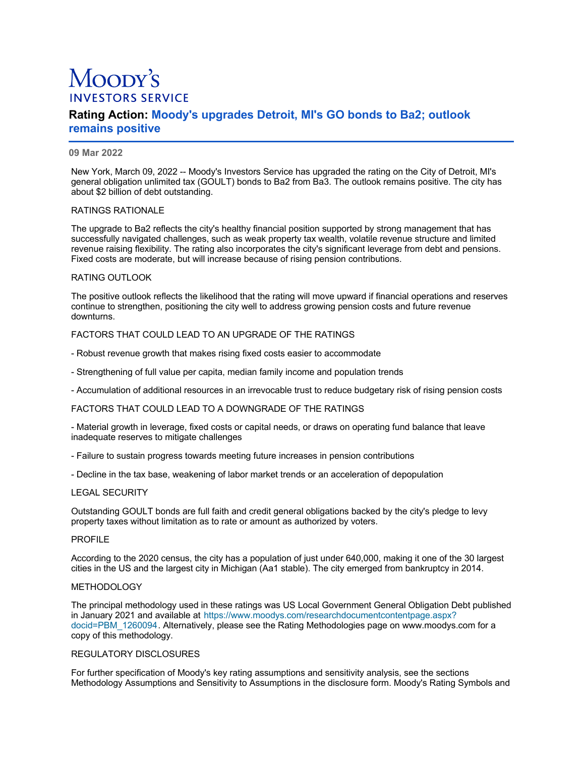# Moopy's **INVESTORS SERVICE**

## **Rating Action: Moody's upgrades Detroit, MI's GO bonds to Ba2; outlook remains positive**

#### **09 Mar 2022**

New York, March 09, 2022 -- Moody's Investors Service has upgraded the rating on the City of Detroit, MI's general obligation unlimited tax (GOULT) bonds to Ba2 from Ba3. The outlook remains positive. The city has about \$2 billion of debt outstanding.

### RATINGS RATIONALE

The upgrade to Ba2 reflects the city's healthy financial position supported by strong management that has successfully navigated challenges, such as weak property tax wealth, volatile revenue structure and limited revenue raising flexibility. The rating also incorporates the city's significant leverage from debt and pensions. Fixed costs are moderate, but will increase because of rising pension contributions.

### RATING OUTLOOK

The positive outlook reflects the likelihood that the rating will move upward if financial operations and reserves continue to strengthen, positioning the city well to address growing pension costs and future revenue downturns.

### FACTORS THAT COULD LEAD TO AN UPGRADE OF THE RATINGS

- Robust revenue growth that makes rising fixed costs easier to accommodate
- Strengthening of full value per capita, median family income and population trends
- Accumulation of additional resources in an irrevocable trust to reduce budgetary risk of rising pension costs

### FACTORS THAT COULD LEAD TO A DOWNGRADE OF THE RATINGS

- Material growth in leverage, fixed costs or capital needs, or draws on operating fund balance that leave inadequate reserves to mitigate challenges

- Failure to sustain progress towards meeting future increases in pension contributions
- Decline in the tax base, weakening of labor market trends or an acceleration of depopulation

### LEGAL SECURITY

Outstanding GOULT bonds are full faith and credit general obligations backed by the city's pledge to levy property taxes without limitation as to rate or amount as authorized by voters.

### PROFILE

According to the 2020 census, the city has a population of just under 640,000, making it one of the 30 largest cities in the US and the largest city in Michigan (Aa1 stable). The city emerged from bankruptcy in 2014.

### **METHODOLOGY**

The principal methodology used in these ratings was US Local Government General Obligation Debt published [in January 2021 and available at https://www.moodys.com/researchdocumentcontentpage.aspx?](https://www.moodys.com/researchdocumentcontentpage.aspx?docid=PBM_1260094) docid=PBM\_1260094. Alternatively, please see the Rating Methodologies page on www.moodys.com for a copy of this methodology.

### REGULATORY DISCLOSURES

For further specification of Moody's key rating assumptions and sensitivity analysis, see the sections Methodology Assumptions and Sensitivity to Assumptions in the disclosure form. Moody's Rating Symbols and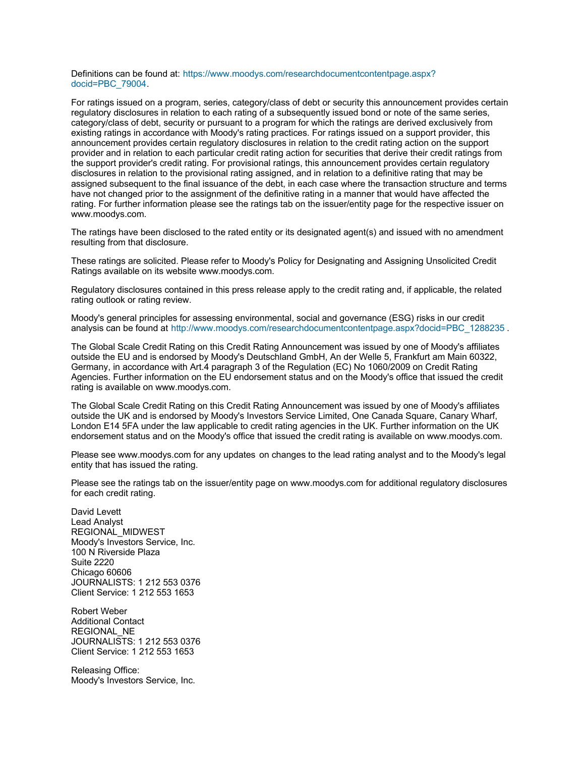#### [Definitions can be found at: https://www.moodys.com/researchdocumentcontentpage.aspx?](https://www.moodys.com/researchdocumentcontentpage.aspx?docid=PBC_79004) docid=PBC\_79004.

For ratings issued on a program, series, category/class of debt or security this announcement provides certain regulatory disclosures in relation to each rating of a subsequently issued bond or note of the same series, category/class of debt, security or pursuant to a program for which the ratings are derived exclusively from existing ratings in accordance with Moody's rating practices. For ratings issued on a support provider, this announcement provides certain regulatory disclosures in relation to the credit rating action on the support provider and in relation to each particular credit rating action for securities that derive their credit ratings from the support provider's credit rating. For provisional ratings, this announcement provides certain regulatory disclosures in relation to the provisional rating assigned, and in relation to a definitive rating that may be assigned subsequent to the final issuance of the debt, in each case where the transaction structure and terms have not changed prior to the assignment of the definitive rating in a manner that would have affected the rating. For further information please see the ratings tab on the issuer/entity page for the respective issuer on www.moodys.com.

The ratings have been disclosed to the rated entity or its designated agent(s) and issued with no amendment resulting from that disclosure.

These ratings are solicited. Please refer to Moody's Policy for Designating and Assigning Unsolicited Credit Ratings available on its website www.moodys.com.

Regulatory disclosures contained in this press release apply to the credit rating and, if applicable, the related rating outlook or rating review.

Moody's general principles for assessing environmental, social and governance (ESG) risks in our credit analysis can be found at [http://www.moodys.com/researchdocumentcontentpage.aspx?docid=PBC\\_1288235](http://www.moodys.com/researchdocumentcontentpage.aspx?docid=PBC_1288235).

The Global Scale Credit Rating on this Credit Rating Announcement was issued by one of Moody's affiliates outside the EU and is endorsed by Moody's Deutschland GmbH, An der Welle 5, Frankfurt am Main 60322, Germany, in accordance with Art.4 paragraph 3 of the Regulation (EC) No 1060/2009 on Credit Rating Agencies. Further information on the EU endorsement status and on the Moody's office that issued the credit rating is available on www.moodys.com.

The Global Scale Credit Rating on this Credit Rating Announcement was issued by one of Moody's affiliates outside the UK and is endorsed by Moody's Investors Service Limited, One Canada Square, Canary Wharf, London E14 5FA under the law applicable to credit rating agencies in the UK. Further information on the UK endorsement status and on the Moody's office that issued the credit rating is available on www.moodys.com.

Please see www.moodys.com for any updates on changes to the lead rating analyst and to the Moody's legal entity that has issued the rating.

Please see the ratings tab on the issuer/entity page on www.moodys.com for additional regulatory disclosures for each credit rating.

David Levett Lead Analyst REGIONAL\_MIDWEST Moody's Investors Service, Inc. 100 N Riverside Plaza Suite 2220 Chicago 60606 JOURNALISTS: 1 212 553 0376 Client Service: 1 212 553 1653

Robert Weber Additional Contact REGIONAL\_NE JOURNALISTS: 1 212 553 0376 Client Service: 1 212 553 1653

Releasing Office: Moody's Investors Service, Inc.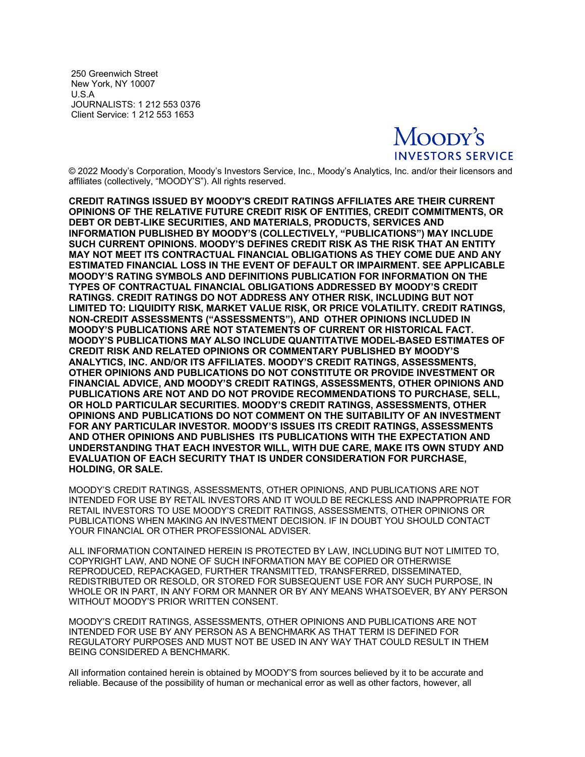250 Greenwich Street New York, NY 10007 U.S.A JOURNALISTS: 1 212 553 0376 Client Service: 1 212 553 1653

> Moopy's **INVESTORS SERVICE**

© 2022 Moody's Corporation, Moody's Investors Service, Inc., Moody's Analytics, Inc. and/or their licensors and affiliates (collectively, "MOODY'S"). All rights reserved.

**CREDIT RATINGS ISSUED BY MOODY'S CREDIT RATINGS AFFILIATES ARE THEIR CURRENT OPINIONS OF THE RELATIVE FUTURE CREDIT RISK OF ENTITIES, CREDIT COMMITMENTS, OR DEBT OR DEBT-LIKE SECURITIES, AND MATERIALS, PRODUCTS, SERVICES AND INFORMATION PUBLISHED BY MOODY'S (COLLECTIVELY, "PUBLICATIONS") MAY INCLUDE SUCH CURRENT OPINIONS. MOODY'S DEFINES CREDIT RISK AS THE RISK THAT AN ENTITY MAY NOT MEET ITS CONTRACTUAL FINANCIAL OBLIGATIONS AS THEY COME DUE AND ANY ESTIMATED FINANCIAL LOSS IN THE EVENT OF DEFAULT OR IMPAIRMENT. SEE APPLICABLE MOODY'S RATING SYMBOLS AND DEFINITIONS PUBLICATION FOR INFORMATION ON THE TYPES OF CONTRACTUAL FINANCIAL OBLIGATIONS ADDRESSED BY MOODY'S CREDIT RATINGS. CREDIT RATINGS DO NOT ADDRESS ANY OTHER RISK, INCLUDING BUT NOT LIMITED TO: LIQUIDITY RISK, MARKET VALUE RISK, OR PRICE VOLATILITY. CREDIT RATINGS, NON-CREDIT ASSESSMENTS ("ASSESSMENTS"), AND OTHER OPINIONS INCLUDED IN MOODY'S PUBLICATIONS ARE NOT STATEMENTS OF CURRENT OR HISTORICAL FACT. MOODY'S PUBLICATIONS MAY ALSO INCLUDE QUANTITATIVE MODEL-BASED ESTIMATES OF CREDIT RISK AND RELATED OPINIONS OR COMMENTARY PUBLISHED BY MOODY'S ANALYTICS, INC. AND/OR ITS AFFILIATES. MOODY'S CREDIT RATINGS, ASSESSMENTS, OTHER OPINIONS AND PUBLICATIONS DO NOT CONSTITUTE OR PROVIDE INVESTMENT OR FINANCIAL ADVICE, AND MOODY'S CREDIT RATINGS, ASSESSMENTS, OTHER OPINIONS AND PUBLICATIONS ARE NOT AND DO NOT PROVIDE RECOMMENDATIONS TO PURCHASE, SELL, OR HOLD PARTICULAR SECURITIES. MOODY'S CREDIT RATINGS, ASSESSMENTS, OTHER OPINIONS AND PUBLICATIONS DO NOT COMMENT ON THE SUITABILITY OF AN INVESTMENT FOR ANY PARTICULAR INVESTOR. MOODY'S ISSUES ITS CREDIT RATINGS, ASSESSMENTS AND OTHER OPINIONS AND PUBLISHES ITS PUBLICATIONS WITH THE EXPECTATION AND UNDERSTANDING THAT EACH INVESTOR WILL, WITH DUE CARE, MAKE ITS OWN STUDY AND EVALUATION OF EACH SECURITY THAT IS UNDER CONSIDERATION FOR PURCHASE, HOLDING, OR SALE.** 

MOODY'S CREDIT RATINGS, ASSESSMENTS, OTHER OPINIONS, AND PUBLICATIONS ARE NOT INTENDED FOR USE BY RETAIL INVESTORS AND IT WOULD BE RECKLESS AND INAPPROPRIATE FOR RETAIL INVESTORS TO USE MOODY'S CREDIT RATINGS, ASSESSMENTS, OTHER OPINIONS OR PUBLICATIONS WHEN MAKING AN INVESTMENT DECISION. IF IN DOUBT YOU SHOULD CONTACT YOUR FINANCIAL OR OTHER PROFESSIONAL ADVISER.

ALL INFORMATION CONTAINED HEREIN IS PROTECTED BY LAW, INCLUDING BUT NOT LIMITED TO, COPYRIGHT LAW, AND NONE OF SUCH INFORMATION MAY BE COPIED OR OTHERWISE REPRODUCED, REPACKAGED, FURTHER TRANSMITTED, TRANSFERRED, DISSEMINATED, REDISTRIBUTED OR RESOLD, OR STORED FOR SUBSEQUENT USE FOR ANY SUCH PURPOSE, IN WHOLE OR IN PART, IN ANY FORM OR MANNER OR BY ANY MEANS WHATSOEVER, BY ANY PERSON WITHOUT MOODY'S PRIOR WRITTEN CONSENT.

MOODY'S CREDIT RATINGS, ASSESSMENTS, OTHER OPINIONS AND PUBLICATIONS ARE NOT INTENDED FOR USE BY ANY PERSON AS A BENCHMARK AS THAT TERM IS DEFINED FOR REGULATORY PURPOSES AND MUST NOT BE USED IN ANY WAY THAT COULD RESULT IN THEM BEING CONSIDERED A BENCHMARK.

All information contained herein is obtained by MOODY'S from sources believed by it to be accurate and reliable. Because of the possibility of human or mechanical error as well as other factors, however, all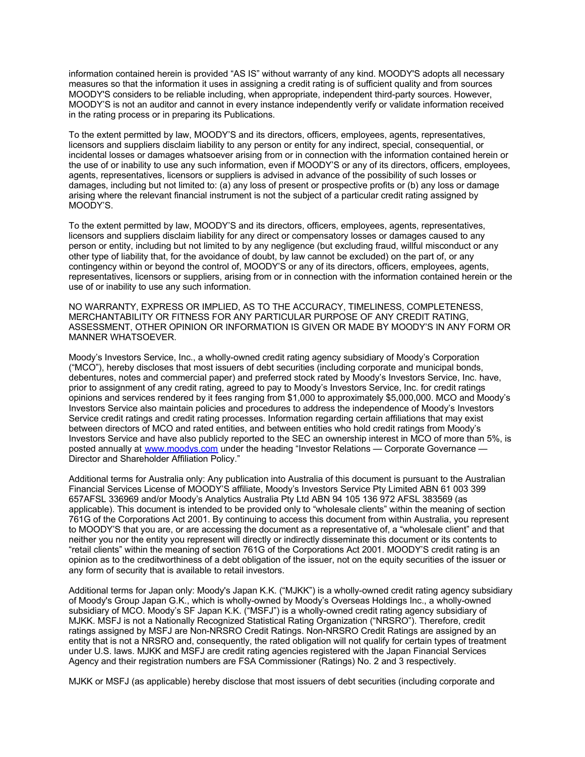information contained herein is provided "AS IS" without warranty of any kind. MOODY'S adopts all necessary measures so that the information it uses in assigning a credit rating is of sufficient quality and from sources MOODY'S considers to be reliable including, when appropriate, independent third-party sources. However, MOODY'S is not an auditor and cannot in every instance independently verify or validate information received in the rating process or in preparing its Publications.

To the extent permitted by law, MOODY'S and its directors, officers, employees, agents, representatives, licensors and suppliers disclaim liability to any person or entity for any indirect, special, consequential, or incidental losses or damages whatsoever arising from or in connection with the information contained herein or the use of or inability to use any such information, even if MOODY'S or any of its directors, officers, employees, agents, representatives, licensors or suppliers is advised in advance of the possibility of such losses or damages, including but not limited to: (a) any loss of present or prospective profits or (b) any loss or damage arising where the relevant financial instrument is not the subject of a particular credit rating assigned by MOODY'S.

To the extent permitted by law, MOODY'S and its directors, officers, employees, agents, representatives, licensors and suppliers disclaim liability for any direct or compensatory losses or damages caused to any person or entity, including but not limited to by any negligence (but excluding fraud, willful misconduct or any other type of liability that, for the avoidance of doubt, by law cannot be excluded) on the part of, or any contingency within or beyond the control of, MOODY'S or any of its directors, officers, employees, agents, representatives, licensors or suppliers, arising from or in connection with the information contained herein or the use of or inability to use any such information.

NO WARRANTY, EXPRESS OR IMPLIED, AS TO THE ACCURACY, TIMELINESS, COMPLETENESS, MERCHANTABILITY OR FITNESS FOR ANY PARTICULAR PURPOSE OF ANY CREDIT RATING, ASSESSMENT, OTHER OPINION OR INFORMATION IS GIVEN OR MADE BY MOODY'S IN ANY FORM OR MANNER WHATSOEVER.

Moody's Investors Service, Inc., a wholly-owned credit rating agency subsidiary of Moody's Corporation ("MCO"), hereby discloses that most issuers of debt securities (including corporate and municipal bonds, debentures, notes and commercial paper) and preferred stock rated by Moody's Investors Service, Inc. have, prior to assignment of any credit rating, agreed to pay to Moody's Investors Service, Inc. for credit ratings opinions and services rendered by it fees ranging from \$1,000 to approximately \$5,000,000. MCO and Moody's Investors Service also maintain policies and procedures to address the independence of Moody's Investors Service credit ratings and credit rating processes. Information regarding certain affiliations that may exist between directors of MCO and rated entities, and between entities who hold credit ratings from Moody's Investors Service and have also publicly reported to the SEC an ownership interest in MCO of more than 5%, is posted annually at [www.moodys.com](http://www.moodys.com/) under the heading "Investor Relations — Corporate Governance — Director and Shareholder Affiliation Policy."

Additional terms for Australia only: Any publication into Australia of this document is pursuant to the Australian Financial Services License of MOODY'S affiliate, Moody's Investors Service Pty Limited ABN 61 003 399 657AFSL 336969 and/or Moody's Analytics Australia Pty Ltd ABN 94 105 136 972 AFSL 383569 (as applicable). This document is intended to be provided only to "wholesale clients" within the meaning of section 761G of the Corporations Act 2001. By continuing to access this document from within Australia, you represent to MOODY'S that you are, or are accessing the document as a representative of, a "wholesale client" and that neither you nor the entity you represent will directly or indirectly disseminate this document or its contents to "retail clients" within the meaning of section 761G of the Corporations Act 2001. MOODY'S credit rating is an opinion as to the creditworthiness of a debt obligation of the issuer, not on the equity securities of the issuer or any form of security that is available to retail investors.

Additional terms for Japan only: Moody's Japan K.K. ("MJKK") is a wholly-owned credit rating agency subsidiary of Moody's Group Japan G.K., which is wholly-owned by Moody's Overseas Holdings Inc., a wholly-owned subsidiary of MCO. Moody's SF Japan K.K. ("MSFJ") is a wholly-owned credit rating agency subsidiary of MJKK. MSFJ is not a Nationally Recognized Statistical Rating Organization ("NRSRO"). Therefore, credit ratings assigned by MSFJ are Non-NRSRO Credit Ratings. Non-NRSRO Credit Ratings are assigned by an entity that is not a NRSRO and, consequently, the rated obligation will not qualify for certain types of treatment under U.S. laws. MJKK and MSFJ are credit rating agencies registered with the Japan Financial Services Agency and their registration numbers are FSA Commissioner (Ratings) No. 2 and 3 respectively.

MJKK or MSFJ (as applicable) hereby disclose that most issuers of debt securities (including corporate and